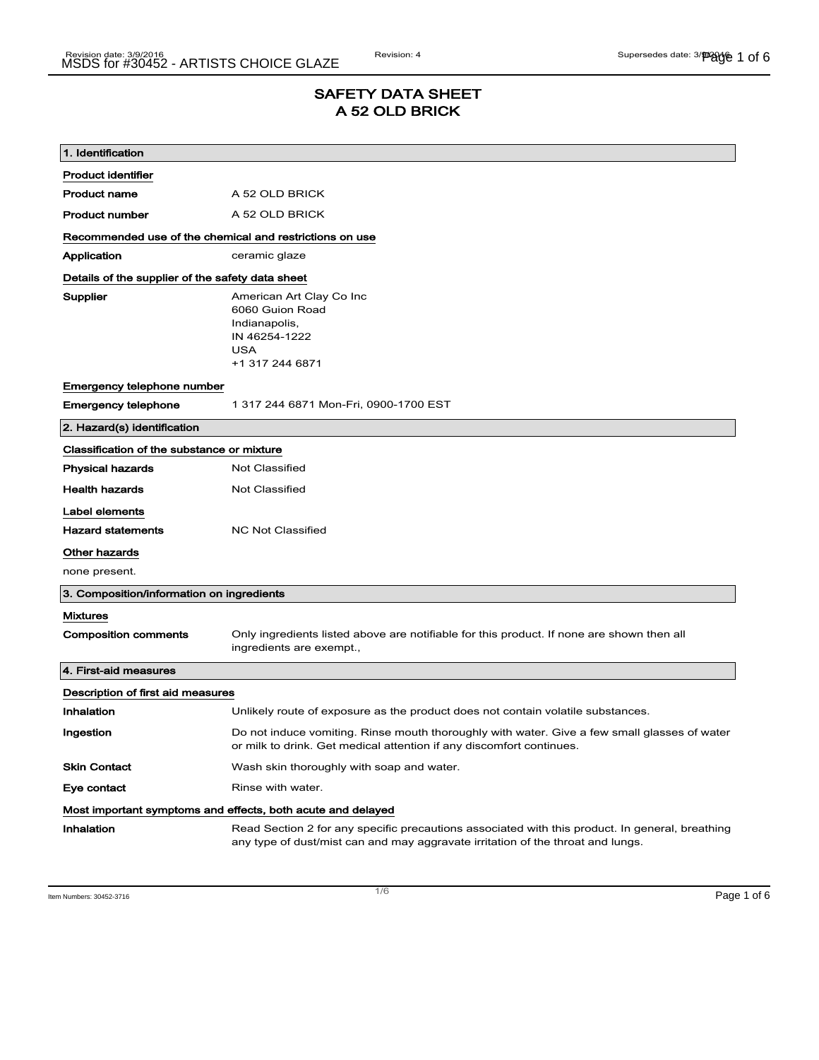## SAFETY DATA SHEET A 52 OLD BRICK

| 1. Identification                                           |                                                                                                                                                                                    |  |
|-------------------------------------------------------------|------------------------------------------------------------------------------------------------------------------------------------------------------------------------------------|--|
| Product identifier                                          |                                                                                                                                                                                    |  |
| <b>Product name</b>                                         | A 52 OLD BRICK                                                                                                                                                                     |  |
| Product number                                              | A 52 OLD BRICK                                                                                                                                                                     |  |
| Recommended use of the chemical and restrictions on use     |                                                                                                                                                                                    |  |
| Application                                                 | ceramic glaze                                                                                                                                                                      |  |
| Details of the supplier of the safety data sheet            |                                                                                                                                                                                    |  |
| Supplier                                                    | American Art Clay Co Inc<br>6060 Guion Road<br>Indianapolis,<br>IN 46254-1222<br>USA<br>+1 317 244 6871                                                                            |  |
| Emergency telephone number                                  |                                                                                                                                                                                    |  |
| <b>Emergency telephone</b>                                  | 1 317 244 6871 Mon-Fri, 0900-1700 EST                                                                                                                                              |  |
| 2. Hazard(s) identification                                 |                                                                                                                                                                                    |  |
| Classification of the substance or mixture                  |                                                                                                                                                                                    |  |
| <b>Physical hazards</b>                                     | <b>Not Classified</b>                                                                                                                                                              |  |
| <b>Health hazards</b>                                       | Not Classified                                                                                                                                                                     |  |
| Label elements                                              |                                                                                                                                                                                    |  |
| <b>Hazard statements</b>                                    | <b>NC Not Classified</b>                                                                                                                                                           |  |
| Other hazards                                               |                                                                                                                                                                                    |  |
| none present.                                               |                                                                                                                                                                                    |  |
| 3. Composition/information on ingredients                   |                                                                                                                                                                                    |  |
| <b>Mixtures</b>                                             |                                                                                                                                                                                    |  |
| <b>Composition comments</b>                                 | Only ingredients listed above are notifiable for this product. If none are shown then all<br>ingredients are exempt.,                                                              |  |
| 4. First-aid measures                                       |                                                                                                                                                                                    |  |
| Description of first aid measures                           |                                                                                                                                                                                    |  |
| <b>Inhalation</b>                                           | Unlikely route of exposure as the product does not contain volatile substances.                                                                                                    |  |
| Ingestion                                                   | Do not induce vomiting. Rinse mouth thoroughly with water. Give a few small glasses of water<br>or milk to drink. Get medical attention if any discomfort continues.               |  |
| <b>Skin Contact</b>                                         | Wash skin thoroughly with soap and water.                                                                                                                                          |  |
| Eye contact                                                 | Rinse with water.                                                                                                                                                                  |  |
| Most important symptoms and effects, both acute and delayed |                                                                                                                                                                                    |  |
| Inhalation                                                  | Read Section 2 for any specific precautions associated with this product. In general, breathing<br>any type of dust/mist can and may aggravate irritation of the throat and lungs. |  |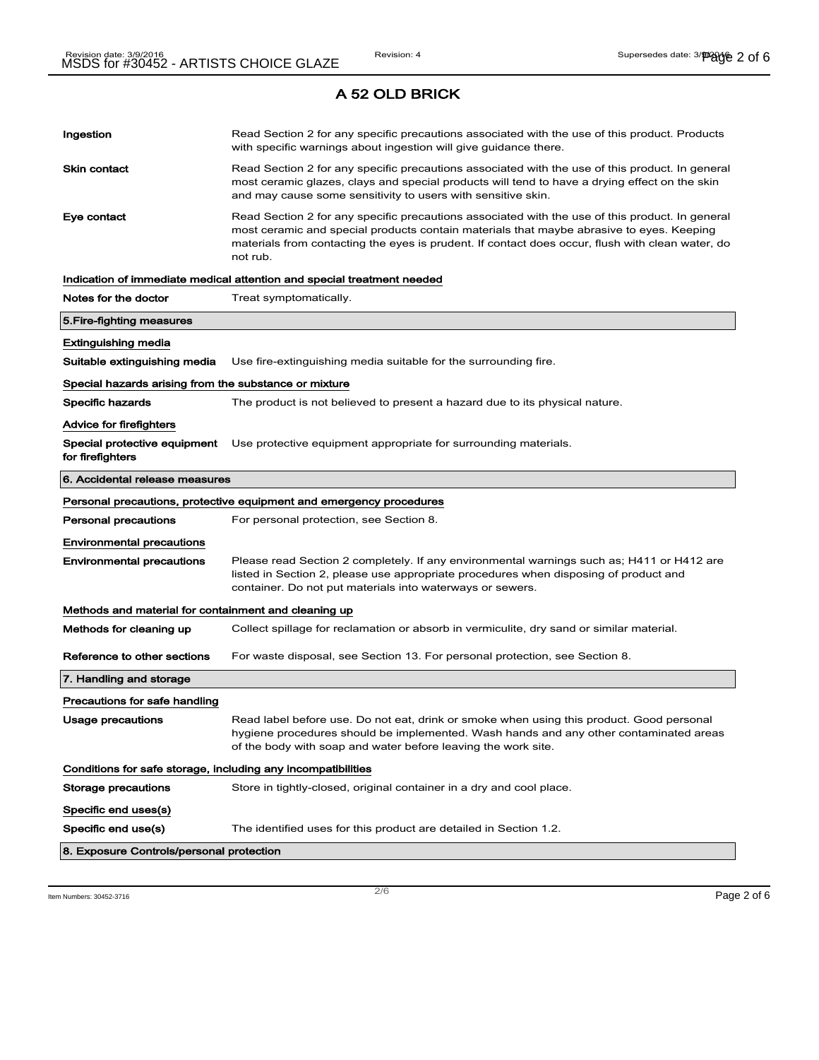# Ingestion **Read Section 2 for any specific precautions associated with the use of this product. Products** with specific warnings about ingestion will give guidance there. Skin contact **Read Section 2 for any specific precautions associated with the use of this product. In general** most ceramic glazes, clays and special products will tend to have a drying effect on the skin and may cause some sensitivity to users with sensitive skin. Eye contact **Read Section 2 for any specific precautions associated with the use of this product. In general** most ceramic and special products contain materials that maybe abrasive to eyes. Keeping materials from contacting the eyes is prudent. If contact does occur, flush with clean water, do not rub. Indication of immediate medical attention and special treatment needed Notes for the doctor Treat symptomatically. 5.Fire-fighting measures Extinguishing media Suitable extinguishing media Use fire-extinguishing media suitable for the surrounding fire. Special hazards arising from the substance or mixture Specific hazards The product is not believed to present a hazard due to its physical nature. Advice for firefighters Special protective equipment Use protective equipment appropriate for surrounding materials. for firefighters 6. Accidental release measures Personal precautions, protective equipment and emergency procedures Personal precautions For personal protection, see Section 8. Environmental precautions Environmental precautions Please read Section 2 completely. If any environmental warnings such as; H411 or H412 are listed in Section 2, please use appropriate procedures when disposing of product and container. Do not put materials into waterways or sewers. Methods and material for containment and cleaning up Methods for cleaning up Collect spillage for reclamation or absorb in vermiculite, dry sand or similar material. Reference to other sections For waste disposal, see Section 13. For personal protection, see Section 8. 7. Handling and storage Precautions for safe handling Usage precautions **Read label before use. Do not eat, drink or smoke when using this product. Good personal** hygiene procedures should be implemented. Wash hands and any other contaminated areas of the body with soap and water before leaving the work site. Conditions for safe storage, including any incompatibilities Storage precautions Store in tightly-closed, original container in a dry and cool place. Specific end uses(s) Specific end use(s) The identified uses for this product are detailed in Section 1.2. 8. Exposure Controls/personal protection

 $\overline{\phantom{a}}$ ltem Numbers: 30452-3716  $\overline{\phantom{a}}$   $\overline{\phantom{a}}$   $\overline{\phantom{a}}$   $\overline{\phantom{a}}$   $\overline{\phantom{a}}$   $\overline{\phantom{a}}$   $\overline{\phantom{a}}$   $\overline{\phantom{a}}$   $\overline{\phantom{a}}$   $\overline{\phantom{a}}$   $\overline{\phantom{a}}$   $\overline{\phantom{a}}$   $\overline{\phantom{a}}$   $\overline{\phantom{a}}$   $\overline{\phantom{a}}$   $\overline{\$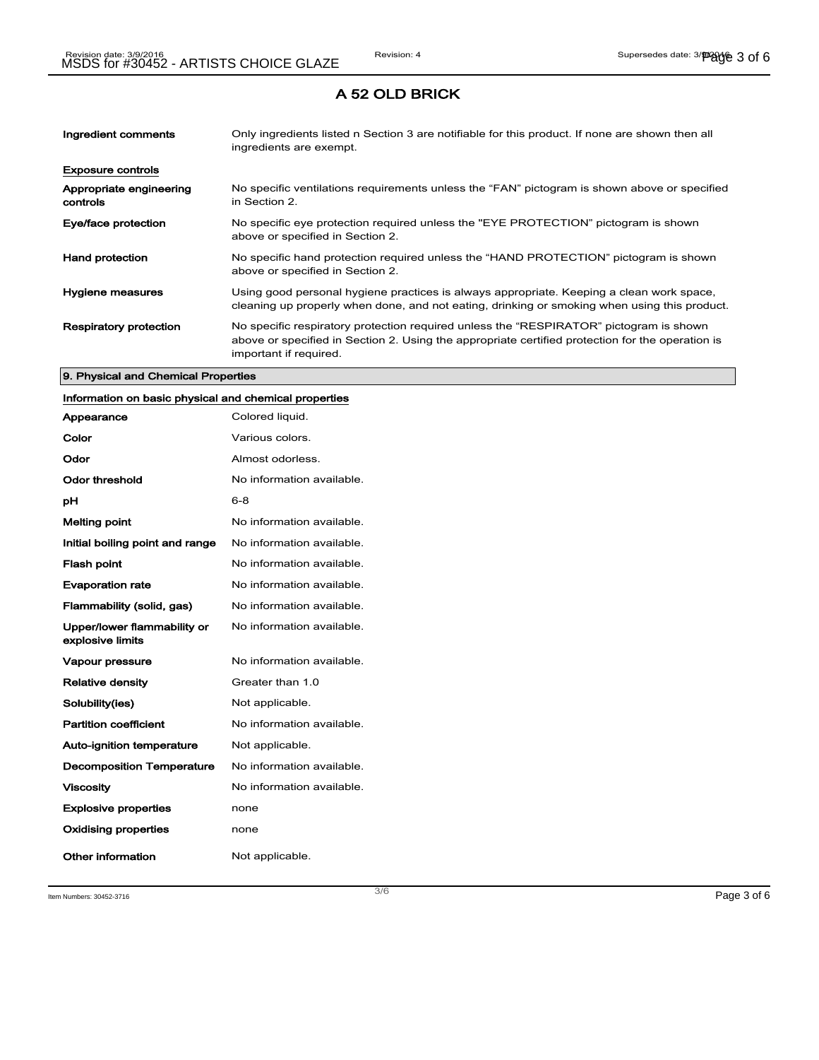| Ingredient comments                 | Only ingredients listed n Section 3 are notifiable for this product. If none are shown then all<br>ingredients are exempt.                                                                                           |
|-------------------------------------|----------------------------------------------------------------------------------------------------------------------------------------------------------------------------------------------------------------------|
| <b>Exposure controls</b>            |                                                                                                                                                                                                                      |
| Appropriate engineering<br>controls | No specific ventilations requirements unless the "FAN" pictogram is shown above or specified<br>in Section 2.                                                                                                        |
| Eye/face protection                 | No specific eye protection required unless the "EYE PROTECTION" pictogram is shown<br>above or specified in Section 2.                                                                                               |
| <b>Hand protection</b>              | No specific hand protection required unless the "HAND PROTECTION" pictogram is shown<br>above or specified in Section 2.                                                                                             |
| Hygiene measures                    | Using good personal hygiene practices is always appropriate. Keeping a clean work space,<br>cleaning up properly when done, and not eating, drinking or smoking when using this product.                             |
| <b>Respiratory protection</b>       | No specific respiratory protection required unless the "RESPIRATOR" pictogram is shown<br>above or specified in Section 2. Using the appropriate certified protection for the operation is<br>important if required. |

#### 9. Physical and Chemical Properties

## Information on basic physical and chemical properties

| Appearance                                      | Colored liquid.           |
|-------------------------------------------------|---------------------------|
| Color                                           | Various colors.           |
| Odor                                            | Almost odorless.          |
| Odor threshold                                  | No information available. |
| рH                                              | 6-8                       |
| <b>Melting point</b>                            | No information available. |
| Initial boiling point and range                 | No information available. |
| <b>Flash point</b>                              | No information available. |
| <b>Evaporation rate</b>                         | No information available. |
| Flammability (solid, gas)                       | No information available. |
| Upper/lower flammability or<br>explosive limits | No information available. |
| Vapour pressure                                 | No information available. |
| <b>Relative density</b>                         | Greater than 1.0          |
| Solubility(ies)                                 | Not applicable.           |
| <b>Partition coefficient</b>                    | No information available. |
| Auto-ignition temperature                       | Not applicable.           |
| <b>Decomposition Temperature</b>                | No information available. |
| <b>Viscosity</b>                                | No information available. |
| <b>Explosive properties</b>                     | none                      |
| <b>Oxidising properties</b>                     | none                      |
| Other information                               | Not applicable.           |

Item Numbers: 30452-3716  $\overline{3/6}$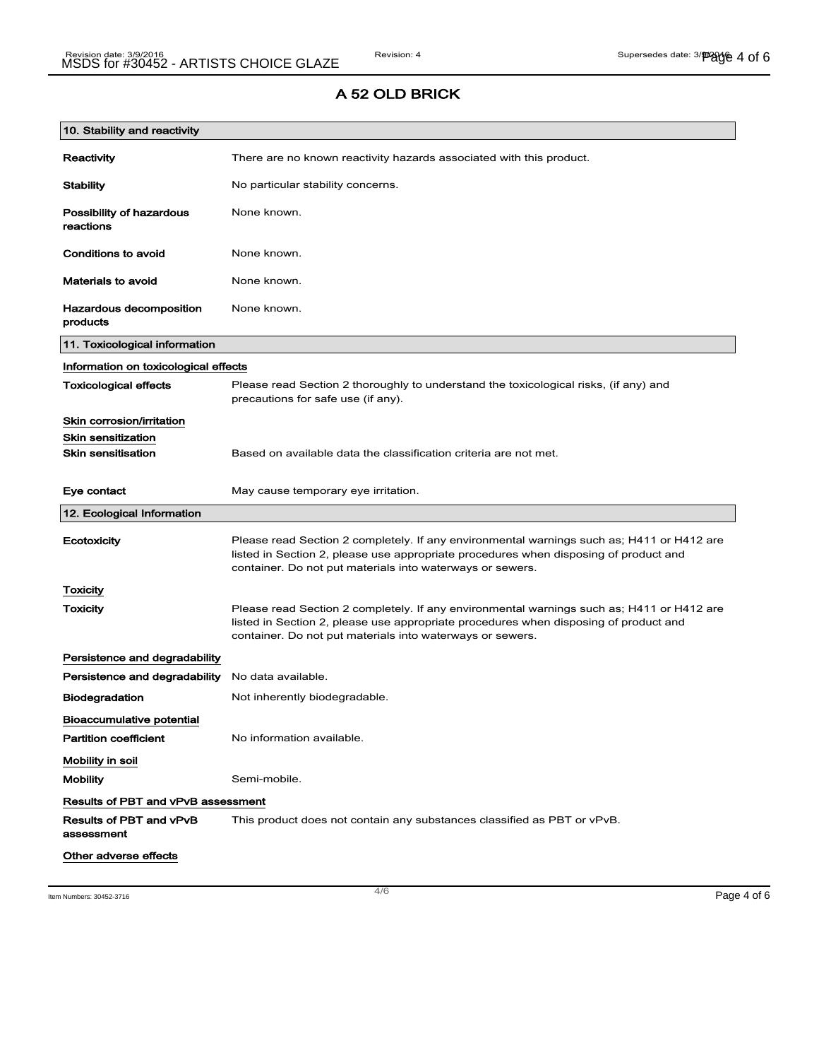## A 52 OLD BRICK

| 10. Stability and reactivity              |                                                                                                                                                                                                                                                |  |
|-------------------------------------------|------------------------------------------------------------------------------------------------------------------------------------------------------------------------------------------------------------------------------------------------|--|
| Reactivity                                | There are no known reactivity hazards associated with this product.                                                                                                                                                                            |  |
| <b>Stability</b>                          | No particular stability concerns.                                                                                                                                                                                                              |  |
| Possibility of hazardous<br>reactions     | None known.                                                                                                                                                                                                                                    |  |
| Conditions to avoid                       | None known.                                                                                                                                                                                                                                    |  |
| <b>Materials to avoid</b>                 | None known.                                                                                                                                                                                                                                    |  |
| Hazardous decomposition<br>products       | None known.                                                                                                                                                                                                                                    |  |
| 11. Toxicological information             |                                                                                                                                                                                                                                                |  |
| Information on toxicological effects      |                                                                                                                                                                                                                                                |  |
| <b>Toxicological effects</b>              | Please read Section 2 thoroughly to understand the toxicological risks, (if any) and<br>precautions for safe use (if any).                                                                                                                     |  |
| Skin corrosion/irritation                 |                                                                                                                                                                                                                                                |  |
| <b>Skin sensitization</b>                 |                                                                                                                                                                                                                                                |  |
| <b>Skin sensitisation</b>                 | Based on available data the classification criteria are not met.                                                                                                                                                                               |  |
| Eye contact                               | May cause temporary eye irritation.                                                                                                                                                                                                            |  |
| 12. Ecological Information                |                                                                                                                                                                                                                                                |  |
| Ecotoxicity                               | Please read Section 2 completely. If any environmental warnings such as; H411 or H412 are<br>listed in Section 2, please use appropriate procedures when disposing of product and<br>container. Do not put materials into waterways or sewers. |  |
| Toxicity                                  |                                                                                                                                                                                                                                                |  |
| Toxicity                                  | Please read Section 2 completely. If any environmental warnings such as; H411 or H412 are<br>listed in Section 2, please use appropriate procedures when disposing of product and<br>container. Do not put materials into waterways or sewers. |  |
| Persistence and degradability             |                                                                                                                                                                                                                                                |  |
| Persistence and degradability             | No data available.                                                                                                                                                                                                                             |  |
| <b>Biodegradation</b>                     | Not inherently biodegradable.                                                                                                                                                                                                                  |  |
| <b>Bioaccumulative potential</b>          |                                                                                                                                                                                                                                                |  |
| <b>Partition coefficient</b>              | No information available.                                                                                                                                                                                                                      |  |
| Mobility in soil                          |                                                                                                                                                                                                                                                |  |
| <b>Mobility</b>                           | Semi-mobile.                                                                                                                                                                                                                                   |  |
| <b>Results of PBT and vPvB assessment</b> |                                                                                                                                                                                                                                                |  |
| Results of PBT and vPvB<br>assessment     | This product does not contain any substances classified as PBT or vPvB.                                                                                                                                                                        |  |
| Other adverse effects                     |                                                                                                                                                                                                                                                |  |

Item Numbers: 30452-3716  $\overline{a}$  Page 4 of 6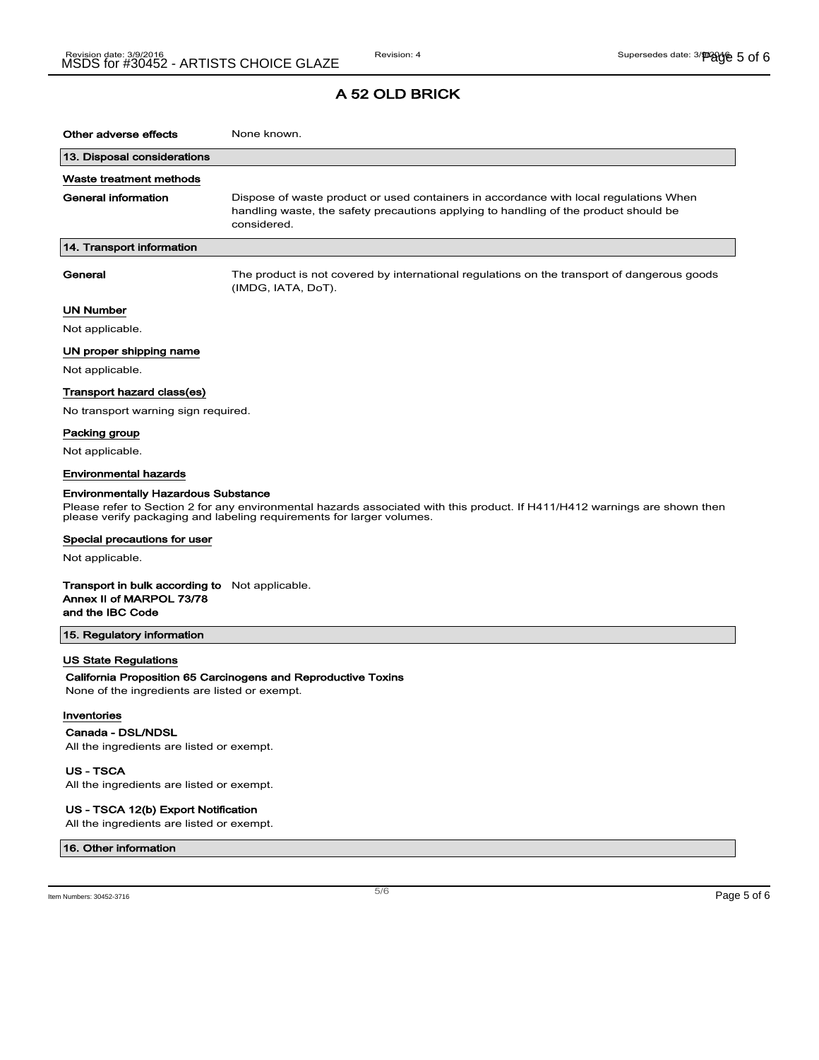| Other adverse effects                                                                                                                                                                                                                             | None known.                                                                                                                                                                                  |  |
|---------------------------------------------------------------------------------------------------------------------------------------------------------------------------------------------------------------------------------------------------|----------------------------------------------------------------------------------------------------------------------------------------------------------------------------------------------|--|
| 13. Disposal considerations                                                                                                                                                                                                                       |                                                                                                                                                                                              |  |
| Waste treatment methods                                                                                                                                                                                                                           |                                                                                                                                                                                              |  |
| General information                                                                                                                                                                                                                               | Dispose of waste product or used containers in accordance with local regulations When<br>handling waste, the safety precautions applying to handling of the product should be<br>considered. |  |
| 14. Transport information                                                                                                                                                                                                                         |                                                                                                                                                                                              |  |
| General                                                                                                                                                                                                                                           | The product is not covered by international regulations on the transport of dangerous goods<br>(IMDG, IATA, DoT).                                                                            |  |
| <b>UN Number</b>                                                                                                                                                                                                                                  |                                                                                                                                                                                              |  |
| Not applicable.                                                                                                                                                                                                                                   |                                                                                                                                                                                              |  |
| UN proper shipping name                                                                                                                                                                                                                           |                                                                                                                                                                                              |  |
| Not applicable.                                                                                                                                                                                                                                   |                                                                                                                                                                                              |  |
| Transport hazard class(es)                                                                                                                                                                                                                        |                                                                                                                                                                                              |  |
| No transport warning sign required.                                                                                                                                                                                                               |                                                                                                                                                                                              |  |
| Packing group                                                                                                                                                                                                                                     |                                                                                                                                                                                              |  |
| Not applicable.                                                                                                                                                                                                                                   |                                                                                                                                                                                              |  |
| <b>Environmental hazards</b>                                                                                                                                                                                                                      |                                                                                                                                                                                              |  |
| <b>Environmentally Hazardous Substance</b><br>Please refer to Section 2 for any environmental hazards associated with this product. If H411/H412 warnings are shown then<br>please verify packaging and labeling requirements for larger volumes. |                                                                                                                                                                                              |  |
| Special precautions for user                                                                                                                                                                                                                      |                                                                                                                                                                                              |  |
| Not applicable.                                                                                                                                                                                                                                   |                                                                                                                                                                                              |  |
| <b>Transport in bulk according to</b> Not applicable.<br>Annex II of MARPOL 73/78<br>and the IBC Code                                                                                                                                             |                                                                                                                                                                                              |  |
| 15. Regulatory information                                                                                                                                                                                                                        |                                                                                                                                                                                              |  |
| <b>US State Regulations</b>                                                                                                                                                                                                                       |                                                                                                                                                                                              |  |
| None of the ingredients are listed or exempt.                                                                                                                                                                                                     | California Proposition 65 Carcinogens and Reproductive Toxins                                                                                                                                |  |
| ومساويه والمستور ويسرا                                                                                                                                                                                                                            |                                                                                                                                                                                              |  |

#### Inventories

 $\overline{\phantom{a}}$ 

Canada - DSL/NDSL

All the ingredients are listed or exempt.

US - TSCA All the ingredients are listed or exempt.

#### US - TSCA 12(b) Export Notification

All the ingredients are listed or exempt.

#### 16. Other information